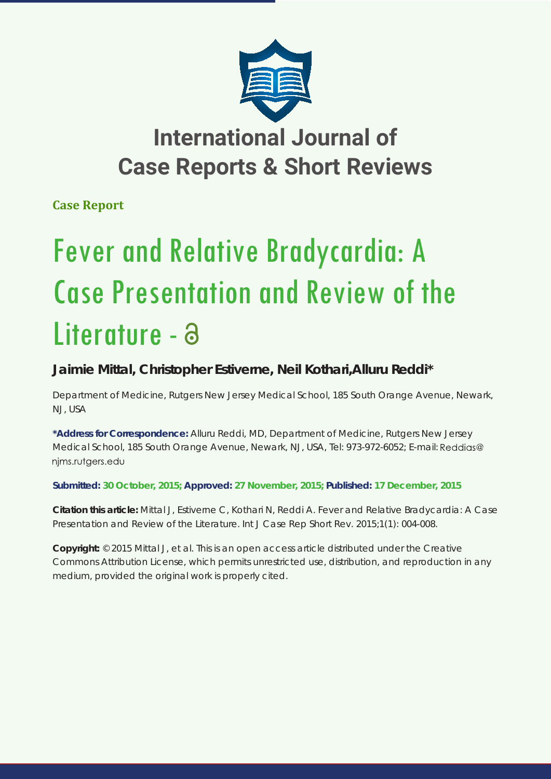

# **International Journal of Case Reports & Short Reviews**

**Case Report**

# Fever and Relative Bradycardia: A Case Presentation and Review of the Literature - a

## **Jaimie Mittal, Christopher Estiverne, Neil Kothari,Alluru Reddi\***

*Department of Medicine, Rutgers New Jersey Medical School, 185 South Orange Avenue, Newark, NJ, USA*

**\*Address for Correspondence:** Alluru Reddi, MD, Department of Medicine, Rutgers New Jersey Medical School, 185 South Orange Avenue, Newark, NJ, USA, Tel: 973-972-6052; E-mail: nims.rutgers.edu

### **Submitted: 30 October, 2015; Approved: 27 November, 2015; Published: 17 December, 2015**

**Citation this article:** Mittal J, Estiverne C, Kothari N, Reddi A. Fever and Relative Bradycardia: A Case Presentation and Review of the Literature. Int J Case Rep Short Rev. 2015;1(1): 004-008.

**Copyright:** © 2015 Mittal J, et al. This is an open access article distributed under the Creative Commons Attribution License, which permits unrestricted use, distribution, and reproduction in any medium, provided the original work is properly cited.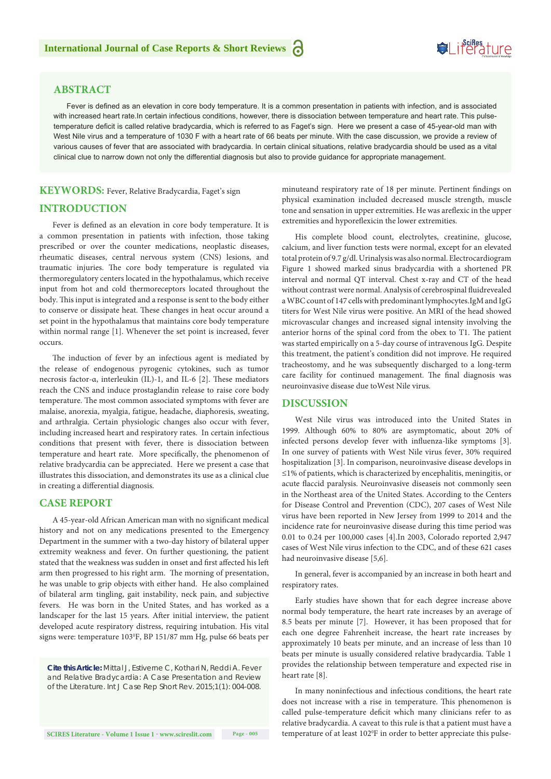#### **ABSTRACT**

Fever is defined as an elevation in core body temperature. It is a common presentation in patients with infection, and is associated with increased heart rate.In certain infectious conditions, however, there is dissociation between temperature and heart rate. This pulsetemperature deficit is called relative bradycardia, which is referred to as Faget's sign. Here we present a case of 45-year-old man with West Nile virus and a temperature of 1030 F with a heart rate of 66 beats per minute. With the case discussion, we provide a review of various causes of fever that are associated with bradycardia. In certain clinical situations, relative bradycardia should be used as a vital clinical clue to narrow down not only the differential diagnosis but also to provide guidance for appropriate management.

#### **KEYWORDS:** Fever, Relative Bradycardia, Faget's sign

#### **INTRODUCTION**

Fever is defined as an elevation in core body temperature. It is a common presentation in patients with infection, those taking prescribed or over the counter medications, neoplastic diseases, rheumatic diseases, central nervous system (CNS) lesions, and traumatic injuries. The core body temperature is regulated via thermoregulatory centers located in the hypothalamus, which receive input from hot and cold thermoreceptors located throughout the body. This input is integrated and a response is sent to the body either to conserve or dissipate heat. These changes in heat occur around a set point in the hypothalamus that maintains core body temperature within normal range [1]. Whenever the set point is increased, fever occurs.

The induction of fever by an infectious agent is mediated by the release of endogenous pyrogenic cytokines, such as tumor necrosis factor-α, interleukin (IL)-1, and IL-6 [2]. These mediators reach the CNS and induce prostaglandin release to raise core body temperature. The most common associated symptoms with fever are malaise, anorexia, myalgia, fatigue, headache, diaphoresis, sweating, and arthralgia. Certain physiologic changes also occur with fever, including increased heart and respiratory rates. In certain infectious conditions that present with fever, there is dissociation between temperature and heart rate. More specifically, the phenomenon of relative bradycardia can be appreciated. Here we present a case that illustrates this dissociation, and demonstrates its use as a clinical clue in creating a differential diagnosis.

#### **CASE REPORT**

A 45-year-old African American man with no significant medical history and not on any medications presented to the Emergency Department in the summer with a two-day history of bilateral upper extremity weakness and fever. On further questioning, the patient stated that the weakness was sudden in onset and first affected his left arm then progressed to his right arm. The morning of presentation, he was unable to grip objects with either hand. He also complained of bilateral arm tingling, gait instability, neck pain, and subjective fevers. He was born in the United States, and has worked as a landscaper for the last 15 years. After initial interview, the patient developed acute respiratory distress, requiring intubation. His vital signs were: temperature 103ºF, BP 151/87 mm Hg, pulse 66 beats per

*Cite this Article: Mittal J, Estiverne C, Kothari N, Reddi A. Fever and Relative Bradycardia: A Case Presentation and Review of the Literature. Int J Case Rep Short Rev. 2015;1(1): 004-008.*

minuteand respiratory rate of 18 per minute. Pertinent findings on physical examination included decreased muscle strength, muscle tone and sensation in upper extremities. He was areflexic in the upper extremities and hyporeflexicin the lower extremities.

His complete blood count, electrolytes, creatinine, glucose, calcium, and liver function tests were normal, except for an elevated total protein of 9.7 g/dl. Urinalysis was also normal. Electrocardiogram Figure 1 showed marked sinus bradycardia with a shortened PR interval and normal QT interval. Chest x-ray and CT of the head without contrast were normal. Analysis of cerebrospinal fluidrevealed a WBC count of 147 cells with predominant lymphocytes.IgM and IgG titers for West Nile virus were positive. An MRI of the head showed microvascular changes and increased signal intensity involving the anterior horns of the spinal cord from the obex to T1. The patient was started empirically on a 5-day course of intravenous IgG. Despite this treatment, the patient's condition did not improve. He required tracheostomy, and he was subsequently discharged to a long-term care facility for continued management. The final diagnosis was neuroinvasive disease due toWest Nile virus.

#### **DISCUSSION**

West Nile virus was introduced into the United States in 1999. Although 60% to 80% are asymptomatic, about 20% of infected persons develop fever with influenza-like symptoms [3]. In one survey of patients with West Nile virus fever, 30% required hospitalization [3]. In comparison, neuroinvasive disease develops in ≤1% of patients, which is characterized by encephalitis, meningitis, or acute flaccid paralysis. Neuroinvasive diseaseis not commonly seen in the Northeast area of the United States. According to the Centers for Disease Control and Prevention (CDC), 207 cases of West Nile virus have been reported in New Jersey from 1999 to 2014 and the incidence rate for neuroinvasive disease during this time period was 0.01 to 0.24 per 100,000 cases [4].In 2003, Colorado reported 2,947 cases of West Nile virus infection to the CDC, and of these 621 cases had neuroinvasive disease [5,6].

In general, fever is accompanied by an increase in both heart and respiratory rates.

Early studies have shown that for each degree increase above normal body temperature, the heart rate increases by an average of 8.5 beats per minute [7]. However, it has been proposed that for each one degree Fahrenheit increase, the heart rate increases by approximately 10 beats per minute, and an increase of less than 10 beats per minute is usually considered relative bradycardia. Table 1 provides the relationship between temperature and expected rise in heart rate [8].

In many noninfectious and infectious conditions, the heart rate does not increase with a rise in temperature. This phenomenon is called pulse-temperature deficit which many clinicians refer to as relative bradycardia. A caveat to this rule is that a patient must have a temperature of at least 102°F in order to better appreciate this pulse-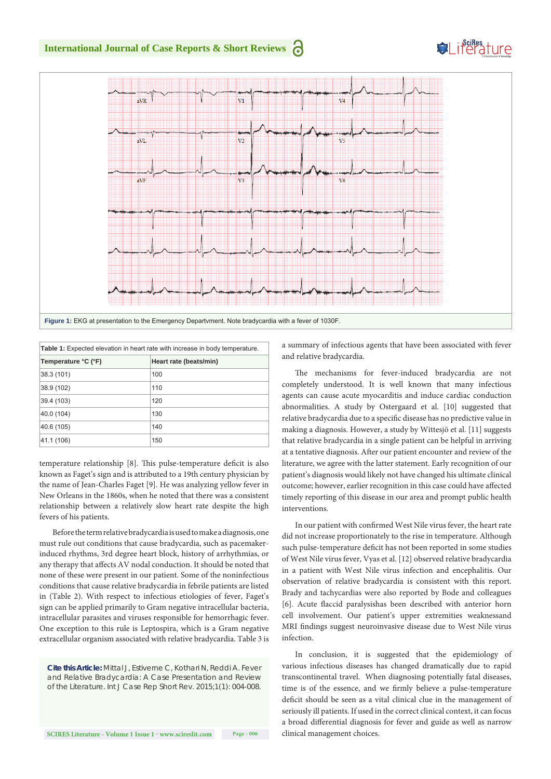

| <b>Table 1:</b> Expected elevation in heart rate with increase in body temperature. |                        |  |
|-------------------------------------------------------------------------------------|------------------------|--|
| Temperature °C (°F)                                                                 | Heart rate (beats/min) |  |
| 38.3 (101)                                                                          | 100                    |  |
| 38.9 (102)                                                                          | 110                    |  |
| 39.4 (103)                                                                          | 120                    |  |
| 40.0 (104)                                                                          | 130                    |  |
| 40.6 (105)                                                                          | 140                    |  |
| 41.1 (106)                                                                          | 150                    |  |

temperature relationship [8]. This pulse-temperature deficit is also known as Faget's sign and is attributed to a 19th century physician by the name of Jean-Charles Faget [9]. He was analyzing yellow fever in New Orleans in the 1860s, when he noted that there was a consistent relationship between a relatively slow heart rate despite the high fevers of his patients.

Before the term relative bradycardia is used to make a diagnosis, one must rule out conditions that cause bradycardia, such as pacemakerinduced rhythms, 3rd degree heart block, history of arrhythmias, or any therapy that affects AV nodal conduction. It should be noted that none of these were present in our patient. Some of the noninfectious conditions that cause relative bradycardia in febrile patients are listed in (Table 2). With respect to infectious etiologies of fever, Faget's sign can be applied primarily to Gram negative intracellular bacteria, intracellular parasites and viruses responsible for hemorrhagic fever. One exception to this rule is Leptospira, which is a Gram negative extracellular organism associated with relative bradycardia. Table 3 is

*Cite this Article: Mittal J, Estiverne C, Kothari N, Reddi A. Fever and Relative Bradycardia: A Case Presentation and Review of the Literature. Int J Case Rep Short Rev. 2015;1(1): 004-008.*

a summary of infectious agents that have been associated with fever and relative bradycardia.

The mechanisms for fever-induced bradycardia are not completely understood. It is well known that many infectious agents can cause acute myocarditis and induce cardiac conduction abnormalities. A study by Ostergaard et al. [10] suggested that relative bradycardia due to a specific disease has no predictive value in making a diagnosis. However, a study by Wittesjö et al. [11] suggests that relative bradycardia in a single patient can be helpful in arriving at a tentative diagnosis. After our patient encounter and review of the literature, we agree with the latter statement. Early recognition of our patient's diagnosis would likely not have changed his ultimate clinical outcome; however, earlier recognition in this case could have affected timely reporting of this disease in our area and prompt public health interventions.

In our patient with confirmed West Nile virus fever, the heart rate did not increase proportionately to the rise in temperature. Although such pulse-temperature deficit has not been reported in some studies of West Nile virus fever, Vyas et al. [12] observed relative bradycardia in a patient with West Nile virus infection and encephalitis. Our observation of relative bradycardia is consistent with this report. Brady and tachycardias were also reported by Bode and colleagues [6]. Acute flaccid paralysishas been described with anterior horn cell involvement. Our patient's upper extremities weaknessand MRI findings suggest neuroinvasive disease due to West Nile virus infection.

In conclusion, it is suggested that the epidemiology of various infectious diseases has changed dramatically due to rapid transcontinental travel. When diagnosing potentially fatal diseases, time is of the essence, and we firmly believe a pulse-temperature deficit should be seen as a vital clinical clue in the management of seriously ill patients. If used in the correct clinical context, it can focus a broad differential diagnosis for fever and guide as well as narrow clinical management choices.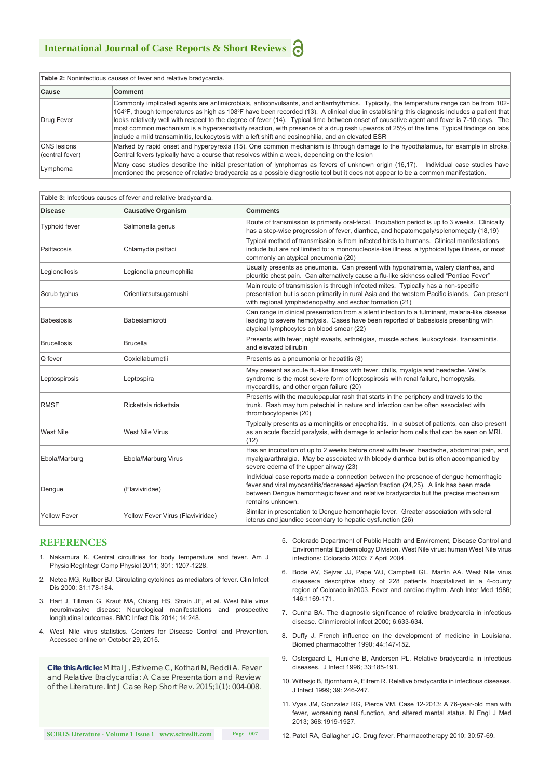| <b>Table 2:</b> Noninfectious causes of fever and relative bradycardia. |                                                                                                                                                                                                                                                                                                                                                                                                                                                                                                                                                                                                                                                                                     |  |
|-------------------------------------------------------------------------|-------------------------------------------------------------------------------------------------------------------------------------------------------------------------------------------------------------------------------------------------------------------------------------------------------------------------------------------------------------------------------------------------------------------------------------------------------------------------------------------------------------------------------------------------------------------------------------------------------------------------------------------------------------------------------------|--|
| Cause                                                                   | Comment                                                                                                                                                                                                                                                                                                                                                                                                                                                                                                                                                                                                                                                                             |  |
| Drug Fever                                                              | Commonly implicated agents are antimicrobials, anticonvulsants, and antiarrhythmics. Typically, the temperature range can be from 102-<br>104°F, though temperatures as high as 108°F have been recorded (13). A clinical clue in establishing this diagnosis includes a patient that<br>looks relatively well with respect to the degree of fever (14). Typical time between onset of causative agent and fever is 7-10 days. The<br>most common mechanism is a hypersensitivity reaction, with presence of a drug rash upwards of 25% of the time. Typical findings on labs<br>include a mild transaminitis, leukocytosis with a left shift and eosinophilia, and an elevated ESR |  |
| <b>CNS</b> lesions<br>(central fever)                                   | Marked by rapid onset and hyperpyrexia (15). One common mechanism is through damage to the hypothalamus, for example in stroke.<br>Central fevers typically have a course that resolves within a week, depending on the lesion                                                                                                                                                                                                                                                                                                                                                                                                                                                      |  |
| Lymphoma                                                                | Many case studies describe the initial presentation of lymphomas as fevers of unknown origin (16,17).<br>Individual case studies have<br>mentioned the presence of relative bradycardia as a possible diagnostic tool but it does not appear to be a common manifestation.                                                                                                                                                                                                                                                                                                                                                                                                          |  |

| Table 3: Infectious causes of fever and relative bradycardia. |                                   |                                                                                                                                                                                                                                                                                          |  |
|---------------------------------------------------------------|-----------------------------------|------------------------------------------------------------------------------------------------------------------------------------------------------------------------------------------------------------------------------------------------------------------------------------------|--|
| <b>Disease</b>                                                | <b>Causative Organism</b>         | <b>Comments</b>                                                                                                                                                                                                                                                                          |  |
| <b>Typhoid fever</b>                                          | Salmonella genus                  | Route of transmission is primarily oral-fecal. Incubation period is up to 3 weeks. Clinically<br>has a step-wise progression of fever, diarrhea, and hepatomegaly/splenomegaly (18,19)                                                                                                   |  |
| Psittacosis                                                   | Chlamydia psittaci                | Typical method of transmission is from infected birds to humans. Clinical manifestations<br>include but are not limited to: a mononucleosis-like illness, a typhoidal type illness, or most<br>commonly an atypical pneumonia (20)                                                       |  |
| Legionellosis                                                 | Legionella pneumophilia           | Usually presents as pneumonia. Can present with hyponatremia, watery diarrhea, and<br>pleuritic chest pain. Can alternatively cause a flu-like sickness called "Pontiac Fever"                                                                                                           |  |
| Scrub typhus                                                  | Orientiatsutsugamushi             | Main route of transmission is through infected mites. Typically has a non-specific<br>presentation but is seen primarily in rural Asia and the western Pacific islands. Can present<br>with regional lymphadenopathy and eschar formation (21)                                           |  |
| <b>Babesiosis</b>                                             | Babesiamicroti                    | Can range in clinical presentation from a silent infection to a fulminant, malaria-like disease<br>leading to severe hemolysis. Cases have been reported of babesiosis presenting with<br>atypical lymphocytes on blood smear (22)                                                       |  |
| <b>Brucellosis</b>                                            | <b>Brucella</b>                   | Presents with fever, night sweats, arthralgias, muscle aches, leukocytosis, transaminitis,<br>and elevated bilirubin                                                                                                                                                                     |  |
| Q fever                                                       | Coxiellaburnetii                  | Presents as a pneumonia or hepatitis (8)                                                                                                                                                                                                                                                 |  |
| Leptospirosis                                                 | Leptospira                        | May present as acute flu-like illness with fever, chills, myalgia and headache. Weil's<br>syndrome is the most severe form of leptospirosis with renal failure, hemoptysis,<br>myocarditis, and other organ failure (20)                                                                 |  |
| <b>RMSF</b>                                                   | Rickettsia rickettsia             | Presents with the maculopapular rash that starts in the periphery and travels to the<br>trunk. Rash may turn petechial in nature and infection can be often associated with<br>thrombocytopenia (20)                                                                                     |  |
| <b>West Nile</b>                                              | West Nile Virus                   | Typically presents as a meningitis or encephalitis. In a subset of patients, can also present<br>as an acute flaccid paralysis, with damage to anterior horn cells that can be seen on MRI.<br>(12)                                                                                      |  |
| Ebola/Marburg                                                 | Ebola/Marburg Virus               | Has an incubation of up to 2 weeks before onset with fever, headache, abdominal pain, and<br>myalgia/arthralgia. May be associated with bloody diarrhea but is often accompanied by<br>severe edema of the upper airway (23)                                                             |  |
| Dengue                                                        | (Flaviviridae)                    | Individual case reports made a connection between the presence of dengue hemorrhagic<br>fever and viral myocarditis/decreased ejection fraction (24,25). A link has been made<br>between Dengue hemorrhagic fever and relative bradycardia but the precise mechanism<br>remains unknown. |  |
| <b>Yellow Fever</b>                                           | Yellow Fever Virus (Flaviviridae) | Similar in presentation to Dengue hemorrhagic fever. Greater association with scleral<br>icterus and jaundice secondary to hepatic dysfunction (26)                                                                                                                                      |  |

#### **REFERENCES**

- 1. [Nakamura K. Central circuitries for body temperature and fever. Am J](http://www.ncbi.nlm.nih.gov/pubmed/21900642)  [PhysiolRegIntegr Comp Physiol 2011; 301: 1207-1228.](http://www.ncbi.nlm.nih.gov/pubmed/21900642)
- 2. [Netea MG, Kullber BJ. Circulating cytokines as mediators of fever. Clin Infect](http://www.ncbi.nlm.nih.gov/pubmed/11113021)  [Dis 2000; 31:178-184.](http://www.ncbi.nlm.nih.gov/pubmed/11113021)
- 3. [Hart J, Tillman G, Kraut MA, Chiang HS, Strain JF, et al. West Nile virus](http://www.ncbi.nlm.nih.gov/pubmed/24884681)  [neuroinvasive disease: Neurological manifestations and prospective](http://www.ncbi.nlm.nih.gov/pubmed/24884681)  [longitudinal outcomes. BMC Infect Dis 2014; 14:248.](http://www.ncbi.nlm.nih.gov/pubmed/24884681)
- 4. [West Nile virus statistics. Centers for Disease Control and Prevention.](http://www.cdc.gov/westnile/index.html)  [Accessed online on October 29, 2015.](http://www.cdc.gov/westnile/index.html)

*Cite this Article: Mittal J, Estiverne C, Kothari N, Reddi A. Fever and Relative Bradycardia: A Case Presentation and Review of the Literature. Int J Case Rep Short Rev. 2015;1(1): 004-008.*

- 5. Colorado Department of Public Health and Enviroment, Disease Control and Environmental Epidemiology Division. West Nile virus: human West Nile virus infections: Colorado 2003; 7 April 2004.
- 6. Bode AV, Sejvar JJ, Pape WJ, Campbell GL, Marfin AA. [West Nile virus](http://www.ncbi.nlm.nih.gov/pubmed/16586381http:/www.ncbi.nlm.nih.gov/pubmed/16586381)  [disease:a descriptive study of 228 patients hospitalized in a 4-county](http://www.ncbi.nlm.nih.gov/pubmed/16586381http:/www.ncbi.nlm.nih.gov/pubmed/16586381)  [region of Colorado in2003. Fever and cardiac rhythm. Arch Inter Med 1986;](http://www.ncbi.nlm.nih.gov/pubmed/16586381http:/www.ncbi.nlm.nih.gov/pubmed/16586381)  [146:11](http://www.ncbi.nlm.nih.gov/pubmed/16586381http:/www.ncbi.nlm.nih.gov/pubmed/16586381)69-171.
- 7. [Cunha BA. The diagnostic significance of relative bradycardia in infectious](http://www.ncbi.nlm.nih.gov/pubmed/11284920)  [disease. Clinmicrobiol infect 2000; 6:633-634.](http://www.ncbi.nlm.nih.gov/pubmed/11284920)
- 8. [Duffy J. French influence on the development of medicine in Louisiana.](http://www.ncbi.nlm.nih.gov/pubmed/2204447)  [Biomed pharmacother 1990; 44:147-152.](http://www.ncbi.nlm.nih.gov/pubmed/2204447)
- 9. [Ostergaard L, Huniche B, Andersen PL. Relative bradycardia in infectious](http://www.ncbi.nlm.nih.gov/pubmed/8945708)  [diseases. J Infect 1996; 33:185-191.](http://www.ncbi.nlm.nih.gov/pubmed/8945708)
- 10. [Wittesjo B, Bjornham A, Eitrem R. Relative bradycardia in infectious diseases.](http://www.ncbi.nlm.nih.gov/pubmed/10714809)  [J Infect 1999; 39: 246-247.](http://www.ncbi.nlm.nih.gov/pubmed/10714809)
- 11. [Vyas JM, Gonzalez RG, Pierce VM. Case 12-2013: A 76-year-old man with](http://www.ncbi.nlm.nih.gov/pubmed/23675661)  [fever, worsening renal function, and altered mental status. N Engl J Med](http://www.ncbi.nlm.nih.gov/pubmed/23675661)  [2013; 368:1919-1927.](http://www.ncbi.nlm.nih.gov/pubmed/23675661)

**SCIRES Literature - Volume 1 Issue 1 - www.scireslit.com Page - 007**

12. [Patel RA, Gallagher JC. Drug fever. Pharmacotherapy 2010; 30:57-69.](http://www.ncbi.nlm.nih.gov/pubmed/20030474)